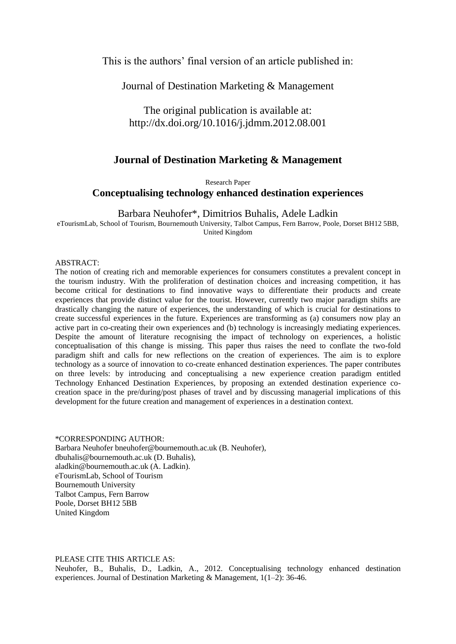This is the authors' final version of an article published in:

Journal of Destination Marketing & Management

The original publication is available at: <http://dx.doi.org/10.1016/j.jdmm.2012.08.001>

# **Journal of Destination Marketing & Management**

Research Paper

# **Conceptualising technology enhanced destination experiences**

Barbara Neuhofer\*, Dimitrios Buhalis, Adele Ladkin

eTourismLab, School of Tourism, Bournemouth University, Talbot Campus, Fern Barrow, Poole, Dorset BH12 5BB, United Kingdom

## ABSTRACT:

The notion of creating rich and memorable experiences for consumers constitutes a prevalent concept in the tourism industry. With the proliferation of destination choices and increasing competition, it has become critical for destinations to find innovative ways to differentiate their products and create experiences that provide distinct value for the tourist. However, currently two major paradigm shifts are drastically changing the nature of experiences, the understanding of which is crucial for destinations to create successful experiences in the future. Experiences are transforming as (a) consumers now play an active part in co-creating their own experiences and (b) technology is increasingly mediating experiences. Despite the amount of literature recognising the impact of technology on experiences, a holistic conceptualisation of this change is missing. This paper thus raises the need to conflate the two-fold paradigm shift and calls for new reflections on the creation of experiences. The aim is to explore technology as a source of innovation to co-create enhanced destination experiences. The paper contributes on three levels: by introducing and conceptualising a new experience creation paradigm entitled Technology Enhanced Destination Experiences, by proposing an extended destination experience cocreation space in the pre/during/post phases of travel and by discussing managerial implications of this development for the future creation and management of experiences in a destination context.

# \*CORRESPONDING AUTHOR:

Barbara Neuhofer bneuhofer@bournemouth.ac.uk (B. Neuhofer), dbuhalis@bournemouth.ac.uk (D. Buhalis), aladkin@bournemouth.ac.uk (A. Ladkin). eTourismLab, School of Tourism Bournemouth University Talbot Campus, Fern Barrow Poole, Dorset BH12 5BB United Kingdom

# PLEASE CITE THIS ARTICLE AS:

Neuhofer, B., Buhalis, D., Ladkin, A., 2012. Conceptualising technology enhanced destination experiences. Journal of Destination Marketing & Management, 1(1–2): 36-46.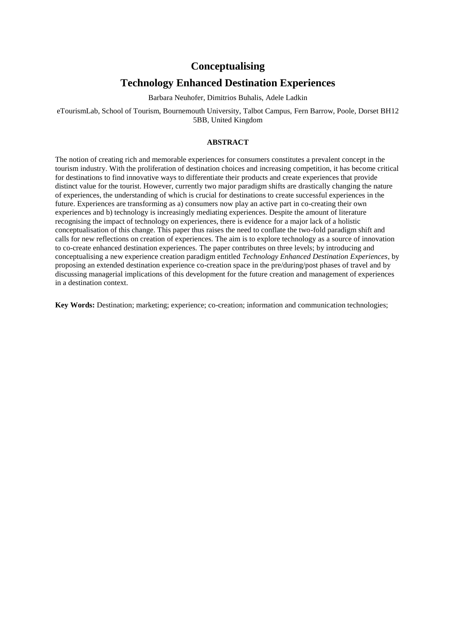# **Conceptualising**

# **Technology Enhanced Destination Experiences**

Barbara Neuhofer, Dimitrios Buhalis, Adele Ladkin

eTourismLab, School of Tourism, Bournemouth University, Talbot Campus, Fern Barrow, Poole, Dorset BH12 5BB, United Kingdom

## **ABSTRACT**

The notion of creating rich and memorable experiences for consumers constitutes a prevalent concept in the tourism industry. With the proliferation of destination choices and increasing competition, it has become critical for destinations to find innovative ways to differentiate their products and create experiences that provide distinct value for the tourist. However, currently two major paradigm shifts are drastically changing the nature of experiences, the understanding of which is crucial for destinations to create successful experiences in the future. Experiences are transforming as a) consumers now play an active part in co-creating their own experiences and b) technology is increasingly mediating experiences. Despite the amount of literature recognising the impact of technology on experiences, there is evidence for a major lack of a holistic conceptualisation of this change. This paper thus raises the need to conflate the two-fold paradigm shift and calls for new reflections on creation of experiences. The aim is to explore technology as a source of innovation to co-create enhanced destination experiences. The paper contributes on three levels; by introducing and conceptualising a new experience creation paradigm entitled *Technology Enhanced Destination Experiences*, by proposing an extended destination experience co-creation space in the pre/during/post phases of travel and by discussing managerial implications of this development for the future creation and management of experiences in a destination context.

**Key Words:** Destination; marketing; experience; co-creation; information and communication technologies;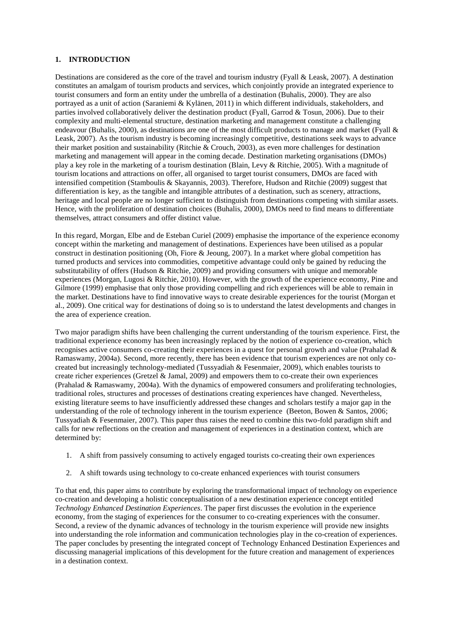# **1. INTRODUCTION**

Destinations are considered as the core of the travel and tourism industry [\(Fyall & Leask, 2007\)](#page-14-0). A destination constitutes an amalgam of tourism products and services, which conjointly provide an integrated experience to tourist consumers and form an entity under the umbrella of a destination [\(Buhalis, 2000\)](#page-13-0). They are also portrayed as a unit of action [\(Saraniemi & Kylänen, 2011\)](#page-15-0) in which different individuals, stakeholders, and parties involved collaboratively deliver the destination product [\(Fyall, Garrod & Tosun, 2006\)](#page-14-1). Due to their complexity and multi-elemental structure, destination marketing and management constitute a challenging endeavour [\(Buhalis, 2000\)](#page-13-0), as destinations are one of the most difficult products to manage and market [\(Fyall &](#page-14-0)  [Leask, 2007\)](#page-14-0). As the tourism industry is becoming increasingly competitive, destinations seek ways to advance their market position and sustainability [\(Ritchie & Crouch, 2003\)](#page-15-1), as even more challenges for destination marketing and management will appear in the coming decade. Destination marketing organisations (DMOs) play a key role in the marketing of a tourism destination [\(Blain, Levy & Ritchie, 2005\)](#page-13-1). With a magnitude of tourism locations and attractions on offer, all organised to target tourist consumers, DMOs are faced with intensified competition [\(Stamboulis & Skayannis, 2003\)](#page-16-0). Therefore, [Hudson and Ritchie \(2009\)](#page-14-2) suggest that differentiation is key, as the tangible and intangible attributes of a destination, such as scenery, attractions, heritage and local people are no longer sufficient to distinguish from destinations competing with similar assets. Hence, with the proliferation of destination choices [\(Buhalis, 2000\)](#page-13-0), DMOs need to find means to differentiate themselves, attract consumers and offer distinct value.

In this regard, [Morgan, Elbe and de Esteban Curiel \(2009\)](#page-15-2) emphasise the importance of the experience economy concept within the marketing and management of destinations. Experiences have been utilised as a popular construct in destination positioning [\(Oh, Fiore & Jeoung, 2007\)](#page-15-3). In a market where global competition has turned products and services into commodities, competitive advantage could only be gained by reducing the substitutability of offers [\(Hudson & Ritchie, 2009\)](#page-14-2) and providing consumers with unique and memorable experiences [\(Morgan, Lugosi & Ritchie, 2010\)](#page-15-4). However, with the growth of the experience economy, [Pine and](#page-15-5)  [Gilmore \(1999\)](#page-15-5) emphasise that only those providing compelling and rich experiences will be able to remain in the market. Destinations have to find innovative ways to create desirable experiences for the tourist [\(Morgan et](#page-15-2)  [al., 2009\)](#page-15-2). One critical way for destinations of doing so is to understand the latest developments and changes in the area of experience creation.

Two major paradigm shifts have been challenging the current understanding of the tourism experience. First, the traditional experience economy has been increasingly replaced by the notion of experience co-creation, which recognises active consumers co-creating their experiences in a quest for personal growth and value [\(Prahalad &](#page-15-6)  [Ramaswamy, 2004a\)](#page-15-6). Second, more recently, there has been evidence that tourism experiences are not only cocreated but increasingly technology-mediated [\(Tussyadiah & Fesenmaier, 2009\)](#page-16-1), which enables tourists to create richer experiences [\(Gretzel & Jamal, 2009\)](#page-14-3) and empowers them to co-create their own experiences [\(Prahalad & Ramaswamy, 2004a\)](#page-15-6). With the dynamics of empowered consumers and proliferating technologies, traditional roles, structures and processes of destinations creating experiences have changed. Nevertheless, existing literature seems to have insufficiently addressed these changes and scholars testify a major gap in the understanding of the role of technology inherent in the tourism experience [\(Beeton, Bowen & Santos, 2006;](#page-13-2) [Tussyadiah & Fesenmaier, 2007\)](#page-16-2). This paper thus raises the need to combine this two-fold paradigm shift and calls for new reflections on the creation and management of experiences in a destination context, which are determined by:

- 1. A shift from passively consuming to actively engaged tourists co-creating their own experiences
- 2. A shift towards using technology to co-create enhanced experiences with tourist consumers

To that end, this paper aims to contribute by exploring the transformational impact of technology on experience co-creation and developing a holistic conceptualisation of a new destination experience concept entitled *Technology Enhanced Destination Experiences*. The paper first discusses the evolution in the experience economy, from the staging of experiences for the consumer to co-creating experiences with the consumer. Second, a review of the dynamic advances of technology in the tourism experience will provide new insights into understanding the role information and communication technologies play in the co-creation of experiences. The paper concludes by presenting the integrated concept of Technology Enhanced Destination Experiences and discussing managerial implications of this development for the future creation and management of experiences in a destination context.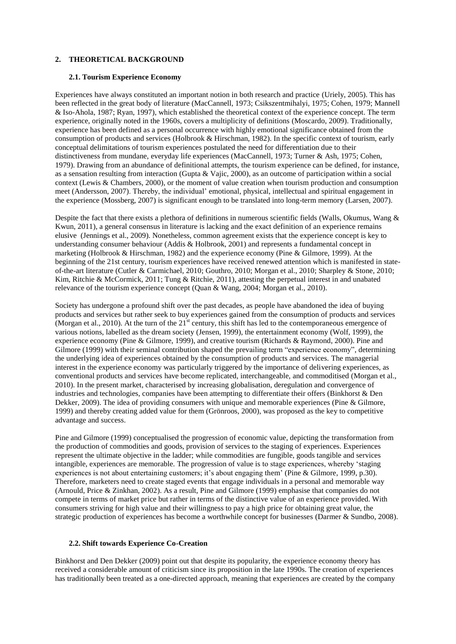# **2. THEORETICAL BACKGROUND**

#### **2.1. Tourism Experience Economy**

Experiences have always constituted an important notion in both research and practice [\(Uriely, 2005\)](#page-16-3). This has been reflected in the great body of literature [\(MacCannell, 1973;](#page-15-7) [Csikszentmihalyi, 1975;](#page-13-3) [Cohen, 1979;](#page-13-4) [Mannell](#page-15-8)  [& Iso-Ahola, 1987;](#page-15-8) [Ryan, 1997\)](#page-15-9), which established the theoretical context of the experience concept. The term experience, originally noted in the 1960s, covers a multiplicity of definitions [\(Moscardo, 2009\)](#page-15-10). Traditionally, experience has been defined as a personal occurrence with highly emotional significance obtained from the consumption of products and services [\(Holbrook & Hirschman, 1982\)](#page-14-4). In the specific context of tourism, early conceptual delimitations of tourism experiences postulated the need for differentiation due to their distinctiveness from mundane, everyday life experiences [\(MacCannell, 1973;](#page-15-7) [Turner & Ash, 1975;](#page-16-4) [Cohen,](#page-13-4)  [1979\)](#page-13-4). Drawing from an abundance of definitional attempts, the tourism experience can be defined, for instance, as a sensation resulting from interaction [\(Gupta & Vajic, 2000\)](#page-14-5), as an outcome of participation within a social context [\(Lewis & Chambers, 2000\)](#page-15-11), or the moment of value creation when tourism production and consumption meet [\(Andersson, 2007\)](#page-13-5). Thereby, the individual' emotional, physical, intellectual and spiritual engagement in the experience [\(Mossberg, 2007\)](#page-15-12) is significant enough to be translated into long-term memory [\(Larsen, 2007\)](#page-14-6).

Despite the fact that there exists a plethora of definitions in numerous scientific fields [\(Walls, Okumus, Wang &](#page-16-5)  [Kwun, 2011\)](#page-16-5), a general consensus in literature is lacking and the exact definition of an experience remains elusive [\(Jennings et al., 2009\)](#page-14-7). Nonetheless, common agreement exists that the experience concept is key to understanding consumer behaviour [\(Addis & Holbrook, 2001\)](#page-13-6) and represents a fundamental concept in marketing [\(Holbrook & Hirschman, 1982\)](#page-14-4) and the experience economy [\(Pine & Gilmore, 1999\)](#page-15-5). At the beginning of the 21st century, tourism experiences have received renewed attention which is manifested in stateof-the-art literature [\(Cutler & Carmichael, 2010;](#page-13-7) [Gouthro, 2010;](#page-14-8) [Morgan et al., 2010;](#page-15-4) [Sharpley & Stone, 2010;](#page-15-13) [Kim, Ritchie & McCormick, 2011;](#page-14-9) [Tung & Ritchie, 2011\)](#page-16-6), attesting the perpetual interest in and unabated relevance of the tourism experience concept [\(Quan & Wang, 2004;](#page-15-14) [Morgan et al., 2010\)](#page-15-4).

Society has undergone a profound shift over the past decades, as people have abandoned the idea of buying products and services but rather seek to buy experiences gained from the consumption of products and services [\(Morgan et al., 2010\)](#page-15-4). At the turn of the  $21<sup>st</sup>$  century, this shift has led to the contemporaneous emergence of various notions, labelled as the dream society [\(Jensen, 1999\)](#page-14-10), the entertainment economy [\(Wolf, 1999\)](#page-16-7), the experience economy [\(Pine & Gilmore, 1999\)](#page-15-5), and creative tourism [\(Richards & Raymond, 2000\)](#page-15-15). [Pine and](#page-15-5)  [Gilmore \(1999\)](#page-15-5) with their seminal contribution shaped the prevailing term "experience economy", determining the underlying idea of experiences obtained by the consumption of products and services. The managerial interest in the experience economy was particularly triggered by the importance of delivering experiences, as conventional products and services have become replicated, interchangeable, and commoditised [\(Morgan et al.,](#page-15-4)  [2010\)](#page-15-4). In the present market, characterised by increasing globalisation, deregulation and convergence of industries and technologies, companies have been attempting to differentiate their offers [\(Binkhorst & Den](#page-13-8)  [Dekker, 2009\)](#page-13-8). The idea of providing consumers with unique and memorable experiences [\(Pine & Gilmore,](#page-15-5)  [1999\)](#page-15-5) and thereby creating added value for them [\(Grönroos, 2000\)](#page-14-11), was proposed as the key to competitive advantage and success.

[Pine and Gilmore \(1999\)](#page-15-5) conceptualised the progression of economic value, depicting the transformation from the production of commodities and goods, provision of services to the staging of experiences. Experiences represent the ultimate objective in the ladder; while commodities are fungible, goods tangible and services intangible, experiences are memorable. The progression of value is to stage experiences, whereby 'staging experiences is not about entertaining customers; it's about engaging them' [\(Pine & Gilmore, 1999, p.30\)](#page-15-5). Therefore, marketers need to create staged events that engage individuals in a personal and memorable way [\(Arnould, Price & Zinkhan, 2002\)](#page-13-9). As a result, [Pine and Gilmore \(1999\)](#page-15-5) emphasise that companies do not compete in terms of market price but rather in terms of the distinctive value of an experience provided. With consumers striving for high value and their willingness to pay a high price for obtaining great value, the strategic production of experiences has become a worthwhile concept for businesses [\(Darmer & Sundbo, 2008\)](#page-13-10).

### **2.2. Shift towards Experience Co-Creation**

[Binkhorst and Den Dekker \(2009\)](#page-13-8) point out that despite its popularity, the experience economy theory has received a considerable amount of criticism since its proposition in the late 1990s. The creation of experiences has traditionally been treated as a one-directed approach, meaning that experiences are created by the company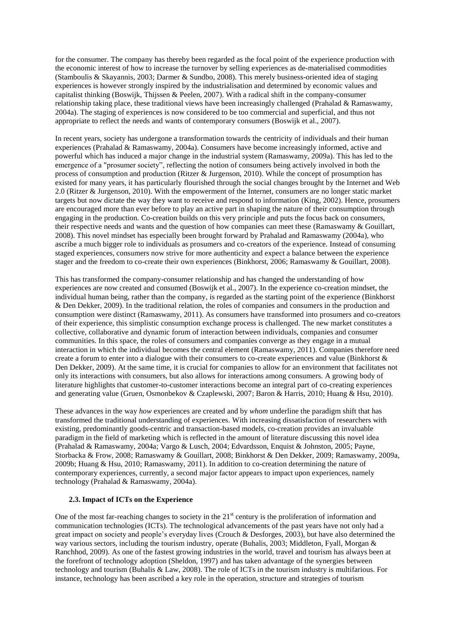for the consumer. The company has thereby been regarded as the focal point of the experience production with the economic interest of how to increase the turnover by selling experiences as de-materialised commodities [\(Stamboulis & Skayannis, 2003;](#page-16-0) [Darmer & Sundbo, 2008\)](#page-13-10). This merely business-oriented idea of staging experiences is however strongly inspired by the industrialisation and determined by economic values and capitalist thinking [\(Boswijk, Thijssen & Peelen, 2007\)](#page-13-11). With a radical shift in the company-consumer relationship taking place, these traditional views have been increasingly challenged [\(Prahalad & Ramaswamy,](#page-15-6)  [2004a\)](#page-15-6). The staging of experiences is now considered to be too commercial and superficial, and thus not appropriate to reflect the needs and wants of contemporary consumers [\(Boswijk et al., 2007\)](#page-13-11).

In recent years, society has undergone a transformation towards the centricity of individuals and their human experiences [\(Prahalad & Ramaswamy, 2004a\)](#page-15-6). Consumers have become increasingly informed, active and powerful which has induced a major change in the industrial system [\(Ramaswamy, 2009a\)](#page-15-16). This has led to the emergence of a "prosumer society", reflecting the notion of consumers being actively involved in both the process of consumption and production [\(Ritzer & Jurgenson, 2010\)](#page-15-17). While the concept of prosumption has existed for many years, it has particularly flourished through the social changes brought by the Internet and Web 2.0 [\(Ritzer & Jurgenson, 2010\)](#page-15-17). With the empowerment of the Internet, consumers are no longer static market targets but now dictate the way they want to receive and respond to information [\(King, 2002\)](#page-14-12). Hence, prosumers are encouraged more than ever before to play an active part in shaping the nature of their consumption through engaging in the production. Co-creation builds on this very principle and puts the focus back on consumers, their respective needs and wants and the question of how companies can meet these [\(Ramaswamy & Gouillart,](#page-15-18)  [2008\)](#page-15-18). This novel mindset has especially been brought forward by [Prahalad and Ramaswamy \(2004a\)](#page-15-6), who ascribe a much bigger role to individuals as prosumers and co-creators of the experience. Instead of consuming staged experiences, consumers now strive for more authenticity and expect a balance between the experience stager and the freedom to co-create their own experiences [\(Binkhorst, 2006;](#page-13-12) [Ramaswamy & Gouillart, 2008\)](#page-15-18).

This has transformed the company-consumer relationship and has changed the understanding of how experiences are now created and consumed [\(Boswijk et al., 2007\)](#page-13-11). In the experience co-creation mindset, the individual human being, rather than the company, is regarded as the starting point of the experience [\(Binkhorst](#page-13-8)  [& Den Dekker, 2009\)](#page-13-8). In the traditional relation, the roles of companies and consumers in the production and consumption were distinct [\(Ramaswamy, 2011\)](#page-15-19). As consumers have transformed into prosumers and co-creators of their experience, this simplistic consumption exchange process is challenged. The new market constitutes a collective, collaborative and dynamic forum of interaction between individuals, companies and consumer communities. In this space, the roles of consumers and companies converge as they engage in a mutual interaction in which the individual becomes the central element [\(Ramaswamy, 2011\)](#page-15-19). Companies therefore need create a forum to enter into a dialogue with their consumers to co-create experiences and value [\(Binkhorst &](#page-13-8)  [Den Dekker, 2009\)](#page-13-8). At the same time, it is crucial for companies to allow for an environment that facilitates not only its interactions with consumers, but also allows for interactions among consumers. A growing body of literature highlights that customer-to-customer interactions become an integral part of co-creating experiences and generating value [\(Gruen, Osmonbekov & Czaplewski, 2007;](#page-14-13) [Baron & Harris, 2010;](#page-13-13) [Huang & Hsu, 2010\)](#page-14-14).

These advances in the way *how* experiences are created and by *whom* underline the paradigm shift that has transformed the traditional understanding of experiences. With increasing dissatisfaction of researchers with existing, predominantly goods-centric and transaction-based models, co-creation provides an invaluable paradigm in the field of marketing which is reflected in the amount of literature discussing this novel idea [\(Prahalad & Ramaswamy, 2004a;](#page-15-6) [Vargo & Lusch, 2004;](#page-16-8) [Edvardsson, Enquist & Johnston, 2005;](#page-13-14) [Payne,](#page-15-20)  [Storbacka & Frow, 2008;](#page-15-20) [Ramaswamy & Gouillart, 2008;](#page-15-18) [Binkhorst & Den Dekker, 2009;](#page-13-8) [Ramaswamy, 2009a,](#page-15-16) [2009b;](#page-15-21) [Huang & Hsu, 2010;](#page-14-14) [Ramaswamy, 2011\)](#page-15-19). In addition to co-creation determining the nature of contemporary experiences, currently, a second major factor appears to impact upon experiences, namely technology [\(Prahalad & Ramaswamy, 2004a\)](#page-15-6).

## **2.3. Impact of ICTs on the Experience**

One of the most far-reaching changes to society in the  $21<sup>st</sup>$  century is the proliferation of information and communication technologies (ICTs). The technological advancements of the past years have not only had a great impact on society and people's everyday lives [\(Crouch & Desforges, 2003\)](#page-13-15), but have also determined the way various sectors, including the tourism industry, operate [\(Buhalis, 2003;](#page-13-16) [Middleton, Fyall, Morgan &](#page-15-22)  [Ranchhod, 2009\)](#page-15-22). As one of the fastest growing industries in the world, travel and tourism has always been at the forefront of technology adoption [\(Sheldon, 1997\)](#page-16-9) and has taken advantage of the synergies between technology and tourism [\(Buhalis & Law, 2008\)](#page-13-17). The role of ICTs in the tourism industry is multifarious. For instance, technology has been ascribed a key role in the operation, structure and strategies of tourism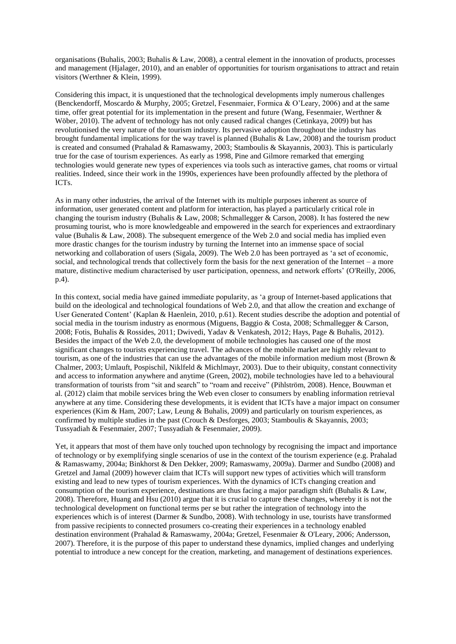organisations [\(Buhalis, 2003;](#page-13-16) [Buhalis & Law, 2008\)](#page-13-17), a central element in the innovation of products, processes and management [\(Hjalager, 2010\)](#page-14-15), and an enabler of opportunities for tourism organisations to attract and retain visitors [\(Werthner & Klein, 1999\)](#page-16-10).

Considering this impact, it is unquestioned that the technological developments imply numerous challenges [\(Benckendorff, Moscardo & Murphy, 2005;](#page-13-18) [Gretzel, Fesenmaier, Formica & O'Leary, 2006\)](#page-14-16) and at the same time, offer great potential for its implementation in the present and future (Wang, Fesenmaier, Werthner & [Wöber, 2010\)](#page-16-11). The advent of technology has not only caused radical changes [\(Cetinkaya, 2009\)](#page-13-19) but has revolutionised the very nature of the tourism industry. Its pervasive adoption throughout the industry has brought fundamental implications for the way travel is planned [\(Buhalis & Law, 2008\)](#page-13-17) and the tourism product is created and consumed [\(Prahalad & Ramaswamy, 2003;](#page-15-23) [Stamboulis & Skayannis, 2003\)](#page-16-0). This is particularly true for the case of tourism experiences. As early as 1998, Pine and Gilmore remarked that emerging technologies would generate new types of experiences via tools such as interactive games, chat rooms or virtual realities. Indeed, since their work in the 1990s, experiences have been profoundly affected by the plethora of ICTs.

As in many other industries, the arrival of the Internet with its multiple purposes inherent as source of information, user generated content and platform for interaction, has played a particularly critical role in changing the tourism industry (Buhalis [& Law, 2008;](#page-13-17) [Schmallegger & Carson, 2008\)](#page-15-24). It has fostered the new prosuming tourist, who is more knowledgeable and empowered in the search for experiences and extraordinary value [\(Buhalis & Law, 2008\)](#page-13-17). The subsequent emergence of the Web 2.0 and social media has implied even more drastic changes for the tourism industry by turning the Internet into an immense space of social networking and collaboration of users [\(Sigala, 2009\)](#page-16-12). The Web 2.0 has been portrayed as 'a set of economic, social, and technological trends that collectively form the basis for the next generation of the Internet – a more mature, distinctive medium characterised by user participation, openness, and network efforts' [\(O'Reilly, 2006,](#page-15-25)  [p.4\)](#page-15-25).

In this context, social media have gained immediate popularity, as 'a group of Internet-based applications that build on the ideological and technological foundations of Web 2.0, and that allow the creation and exchange of User Generated Content' [\(Kaplan & Haenlein, 2010, p.61\)](#page-14-17). Recent studies describe the adoption and potential of social media in the tourism industry as enormous [\(Miguens, Baggio & Costa, 2008;](#page-15-26) [Schmallegger & Carson,](#page-15-24)  [2008;](#page-15-24) [Fotis, Buhalis & Rossides, 2011;](#page-14-18) [Dwivedi, Yadav & Venkatesh, 2012;](#page-13-20) [Hays, Page & Buhalis, 2012\)](#page-14-19). Besides the impact of the Web 2.0, the development of mobile technologies has caused one of the most significant changes to tourists experiencing travel. The advances of the mobile market are highly relevant to tourism, as one of the industries that can use the advantages of the mobile information medium most [\(Brown &](#page-13-21)  [Chalmer, 2003;](#page-13-21) [Umlauft, Pospischil, Niklfeld & Michlmayr, 2003\)](#page-16-13). Due to their ubiquity, constant connectivity and access to information anywhere and anytime [\(Green, 2002\)](#page-14-20), mobile technologies have led to a behavioural transformation of tourists from "sit and search" to "roam and receive" [\(Pihlström, 2008\)](#page-15-27). Hence, [Bouwman et](#page-13-22)  [al. \(2012\)](#page-13-22) claim that mobile services bring the Web even closer to consumers by enabling information retrieval anywhere at any time. Considering these developments, it is evident that ICTs have a major impact on consumer experiences [\(Kim & Ham, 2007;](#page-14-21) [Law, Leung & Buhalis, 2009\)](#page-14-22) and particularly on tourism experiences, as confirmed by multiple studies in the past [\(Crouch & Desforges, 2003;](#page-13-15) [Stamboulis & Skayannis, 2003;](#page-16-0) [Tussyadiah & Fesenmaier, 2007;](#page-16-2) [Tussyadiah & Fesenmaier, 2009\)](#page-16-1).

Yet, it appears that most of them have only touched upon technology by recognising the impact and importance of technology or by exemplifying single scenarios of use in the context of the tourism experience (e.g. [Prahalad](#page-15-6)  [& Ramaswamy, 2004a;](#page-15-6) [Binkhorst & Den Dekker, 2009;](#page-13-8) [Ramaswamy, 2009a\)](#page-15-16). [Darmer and Sundbo \(2008\)](#page-13-10) and [Gretzel and Jamal \(2009\)](#page-14-3) however claim that ICTs will support new types of activities which will transform existing and lead to new types of tourism experiences. With the dynamics of ICTs changing creation and consumption of the tourism experience, destinations are thus facing a major paradigm shift [\(Buhalis & Law,](#page-13-17)  [2008\)](#page-13-17). Therefore, [Huang and Hsu \(2010\)](#page-14-14) argue that it is crucial to capture these changes, whereby it is not the technological development on functional terms per se but rather the integration of technology into the experiences which is of interest [\(Darmer & Sundbo, 2008\)](#page-13-10). With technology in use, tourists have transformed from passive recipients to connected prosumers co-creating their experiences in a technology enabled destination environment [\(Prahalad & Ramaswamy, 2004a;](#page-15-6) [Gretzel, Fesenmaier & O'Leary, 2006;](#page-14-23) [Andersson,](#page-13-5)  [2007\)](#page-13-5). Therefore, it is the purpose of this paper to understand these dynamics, implied changes and underlying potential to introduce a new concept for the creation, marketing, and management of destinations experiences.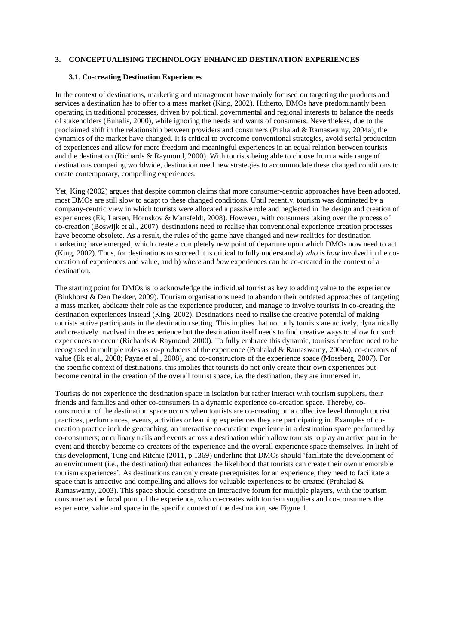# **3. CONCEPTUALISING TECHNOLOGY ENHANCED DESTINATION EXPERIENCES**

#### **3.1. Co-creating Destination Experiences**

In the context of destinations, marketing and management have mainly focused on targeting the products and services a destination has to offer to a mass market [\(King, 2002\)](#page-14-12). Hitherto, DMOs have predominantly been operating in traditional processes, driven by political, governmental and regional interests to balance the needs of stakeholders [\(Buhalis, 2000\)](#page-13-0), while ignoring the needs and wants of consumers. Nevertheless, due to the proclaimed shift in the relationship between providers and consumers [\(Prahalad & Ramaswamy, 2004a\)](#page-15-6), the dynamics of the market have changed. It is critical to overcome conventional strategies, avoid serial production of experiences and allow for more freedom and meaningful experiences in an equal relation between tourists and the destination [\(Richards & Raymond, 2000\)](#page-15-15). With tourists being able to choose from a wide range of destinations competing worldwide, destination need new strategies to accommodate these changed conditions to create contemporary, compelling experiences.

Yet, [King \(2002\)](#page-14-12) argues that despite common claims that more consumer-centric approaches have been adopted, most DMOs are still slow to adapt to these changed conditions. Until recently, tourism was dominated by a company-centric view in which tourists were allocated a passive role and neglected in the design and creation of experiences [\(Ek, Larsen, Hornskov & Mansfeldt, 2008\)](#page-14-24). However, with consumers taking over the process of co-creation [\(Boswijk et al., 2007\)](#page-13-11), destinations need to realise that conventional experience creation processes have become obsolete. As a result, the rules of the game have changed and new realities for destination marketing have emerged, which create a completely new point of departure upon which DMOs now need to act [\(King, 2002\)](#page-14-12). Thus, for destinations to succeed it is critical to fully understand a) *who* is *how* involved in the cocreation of experiences and value, and b) *where* and *how* experiences can be co-created in the context of a destination.

The starting point for DMOs is to acknowledge the individual tourist as key to adding value to the experience [\(Binkhorst & Den Dekker, 2009\)](#page-13-8). Tourism organisations need to abandon their outdated approaches of targeting a mass market, abdicate their role as the experience producer, and manage to involve tourists in co-creating the destination experiences instead [\(King, 2002\)](#page-14-12). Destinations need to realise the creative potential of making tourists active participants in the destination setting. This implies that not only tourists are actively, dynamically and creatively involved in the experience but the destination itself needs to find creative ways to allow for such experiences to occur [\(Richards & Raymond, 2000\)](#page-15-15). To fully embrace this dynamic, tourists therefore need to be recognised in multiple roles as co-producers of the experience [\(Prahalad & Ramaswamy, 2004a\)](#page-15-6), co-creators of value [\(Ek et al., 2008;](#page-14-24) [Payne et al., 2008\)](#page-15-20), and co-constructors of the experience space [\(Mossberg, 2007\)](#page-15-12). For the specific context of destinations, this implies that tourists do not only create their own experiences but become central in the creation of the overall tourist space, i.e. the destination, they are immersed in.

Tourists do not experience the destination space in isolation but rather interact with tourism suppliers, their friends and families and other co-consumers in a dynamic experience co-creation space. Thereby, coconstruction of the destination space occurs when tourists are co-creating on a collective level through tourist practices, performances, events, activities or learning experiences they are participating in. Examples of cocreation practice include geocaching, an interactive co-creation experience in a destination space performed by co-consumers; or culinary trails and events across a destination which allow tourists to play an active part in the event and thereby become co-creators of the experience and the overall experience space themselves. In light of this development, [Tung and Ritchie \(2011, p.1369\)](#page-16-6) underline that DMOs should 'facilitate the development of an environment (i.e., the destination) that enhances the likelihood that tourists can create their own memorable tourism experiences'. As destinations can only create prerequisites for an experience, they need to facilitate a space that is attractive and compelling and allows for valuable experiences to be created [\(Prahalad &](#page-15-23)  [Ramaswamy, 2003\)](#page-15-23). This space should constitute an interactive forum for multiple players, with the tourism consumer as the focal point of the experience, who co-creates with tourism suppliers and co-consumers the experience, value and space in the specific context of the destination, see Figure 1.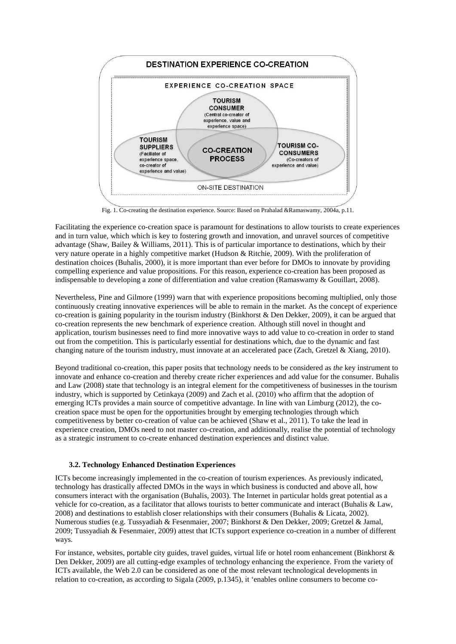

Fig. 1. Co-creating the destination experience. Source: Based on Prahalad &Ramaswamy, 2004a, p.11.

Facilitating the experience co-creation space is paramount for destinations to allow tourists to create experiences and in turn value, which which is key to fostering growth and innovation, and unravel sources of competitive advantage [\(Shaw, Bailey & Williams, 2011\)](#page-15-28). This is of particular importance to destinations, which by their very nature operate in a highly competitive market [\(Hudson & Ritchie, 2009\)](#page-14-2). With the proliferation of destination choices [\(Buhalis, 2000\)](#page-13-0), it is more important than ever before for DMOs to innovate by providing compelling experience and value propositions. For this reason, experience co-creation has been proposed as indispensable to developing a zone of differentiation and value creation [\(Ramaswamy & Gouillart, 2008\)](#page-15-18).

Nevertheless, [Pine and Gilmore \(1999\)](#page-15-5) warn that with experience propositions becoming multiplied, only those continuously creating innovative experiences will be able to remain in the market. As the concept of experience co-creation is gaining popularity in the tourism industry [\(Binkhorst & Den Dekker, 2009\)](#page-13-8), it can be argued that co-creation represents the new benchmark of experience creation. Although still novel in thought and application, tourism businesses need to find more innovative ways to add value to co-creation in order to stand out from the competition. This is particularly essential for destinations which, due to the dynamic and fast changing nature of the tourism industry, must innovate at an accelerated pace [\(Zach, Gretzel & Xiang, 2010\)](#page-16-14).

Beyond traditional co-creation, this paper posits that technology needs to be considered as *the* key instrument to innovate and enhance co-creation and thereby create richer experiences and add value for the consumer. [Buhalis](#page-13-17)  [and Law \(2008\)](#page-13-17) state that technology is an integral element for the competitiveness of businesses in the tourism industry, which is supported by [Cetinkaya \(2009\)](#page-13-19) an[d Zach et al. \(2010\)](#page-16-14) who affirm that the adoption of emerging ICTs provides a main source of competitive advantage. In line with [van Limburg \(2012\)](#page-16-15), the cocreation space must be open for the opportunities brought by emerging technologies through which competitiveness by better co-creation of value can be achieved [\(Shaw et al., 2011\)](#page-15-28). To take the lead in experience creation, DMOs need to not master co-creation, and additionally, realise the potential of technology as a strategic instrument to co-create enhanced destination experiences and distinct value.

# **3.2. Technology Enhanced Destination Experiences**

ICTs become increasingly implemented in the co-creation of tourism experiences. As previously indicated, technology has drastically affected DMOs in the ways in which business is conducted and above all, how consumers interact with the organisation [\(Buhalis, 2003\)](#page-13-16). The Internet in particular holds great potential as a vehicle for co-creation, as a facilitator that allows tourists to better communicate and interact [\(Buhalis & Law,](#page-13-17)  [2008\)](#page-13-17) and destinations to establish closer relationships with their consumers [\(Buhalis & Licata, 2002\)](#page-13-23). Numerous studies (e.g[. Tussyadiah & Fesenmaier, 2007;](#page-16-2) [Binkhorst & Den Dekker, 2009;](#page-13-8) [Gretzel & Jamal,](#page-14-3)  [2009;](#page-14-3) [Tussyadiah & Fesenmaier, 2009\)](#page-16-1) attest that ICTs support experience co-creation in a number of different ways.

For instance, websites, portable city guides, travel guides, virtual life or hotel room enhancement (Binkhorst & [Den Dekker, 2009\)](#page-13-8) are all cutting-edge examples of technology enhancing the experience. From the variety of ICTs available, the Web 2.0 can be considered as one of the most relevant technological developments in relation to co-creation, as according to [Sigala \(2009, p.1345\)](#page-16-12), it 'enables online consumers to become co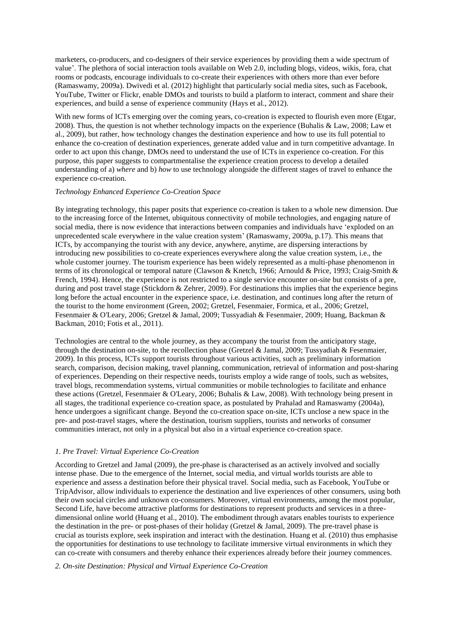marketers, co-producers, and co-designers of their service experiences by providing them a wide spectrum of value'. The plethora of social interaction tools available on Web 2.0, including blogs, videos, wikis, fora, chat rooms or podcasts, encourage individuals to co-create their experiences with others more than ever before [\(Ramaswamy, 2009a\)](#page-15-16). [Dwivedi et al. \(2012\)](#page-13-20) highlight that particularly social media sites, such as Facebook, YouTube, Twitter or Flickr, enable DMOs and tourists to build a platform to interact, comment and share their experiences, and build a sense of experience community [\(Hays et al., 2012\)](#page-14-19).

With new forms of ICTs emerging over the coming years, co-creation is expected to flourish even more (Etgar, [2008\)](#page-14-25). Thus, the question is not whether technology impacts on the experience [\(Buhalis & Law, 2008;](#page-13-17) [Law et](#page-14-22)  [al., 2009\)](#page-14-22), but rather, how technology changes the destination experience and how to use its full potential to enhance the co-creation of destination experiences, generate added value and in turn competitive advantage. In order to act upon this change, DMOs need to understand the use of ICTs in experience co-creation. For this purpose, this paper suggests to compartmentalise the experience creation process to develop a detailed understanding of a) *where* and b) *how* to use technology alongside the different stages of travel to enhance the experience co-creation.

## *Technology Enhanced Experience Co-Creation Space*

By integrating technology, this paper posits that experience co-creation is taken to a whole new dimension. Due to the increasing force of the Internet, ubiquitous connectivity of mobile technologies, and engaging nature of social media, there is now evidence that interactions between companies and individuals have 'exploded on an unprecedented scale everywhere in the value creation system' [\(Ramaswamy, 2009a, p.17\)](#page-15-16). This means that ICTs, by accompanying the tourist with any device, anywhere, anytime, are dispersing interactions by introducing new possibilities to co-create experiences everywhere along the value creation system, i.e., the whole customer journey. The tourism experience has been widely represented as a multi-phase phenomenon in terms of its chronological or temporal nature [\(Clawson & Knetch, 1966;](#page-13-24) [Arnould & Price, 1993;](#page-13-25) [Craig-Smith &](#page-13-26)  [French, 1994\)](#page-13-26). Hence, the experience is not restricted to a single service encounter on-site but consists of a pre, during and post travel stage [\(Stickdorn & Zehrer, 2009\)](#page-16-16). For destinations this implies that the experience begins long before the actual encounter in the experience space, i.e. destination, and continues long after the return of the tourist to the home environment [\(Green, 2002;](#page-14-20) Gretzel, [Fesenmaier, Formica, et al., 2006;](#page-14-16) [Gretzel,](#page-14-23)  [Fesenmaier & O'Leary, 2006;](#page-14-23) [Gretzel & Jamal, 2009;](#page-14-3) [Tussyadiah & Fesenmaier, 2009;](#page-16-1) [Huang, Backman &](#page-14-26)  [Backman, 2010;](#page-14-26) [Fotis et al., 2011\)](#page-14-18).

Technologies are central to the whole journey, as they accompany the tourist from the anticipatory stage, through the destination on-site, to the recollection phase [\(Gretzel & Jamal, 2009;](#page-14-3) [Tussyadiah & Fesenmaier,](#page-16-1)  [2009\)](#page-16-1). In this process, ICTs support tourists throughout various activities, such as preliminary information search, comparison, decision making, travel planning, communication, retrieval of information and post-sharing of experiences. Depending on their respective needs, tourists employ a wide range of tools, such as websites, travel blogs, recommendation systems, virtual communities or mobile technologies to facilitate and enhance these actions [\(Gretzel, Fesenmaier & O'Leary, 2006;](#page-14-23) [Buhalis & Law, 2008\)](#page-13-17). With technology being present in all stages, the traditional experience co-creation space, as postulated b[y Prahalad and Ramaswamy \(2004a\)](#page-15-6), hence undergoes a significant change. Beyond the co-creation space on-site, ICTs unclose a new space in the pre- and post-travel stages, where the destination, tourism suppliers, tourists and networks of consumer communities interact, not only in a physical but also in a virtual experience co-creation space.

### *1. Pre Travel: Virtual Experience Co-Creation*

According to [Gretzel and Jamal \(2009\)](#page-14-3), the pre-phase is characterised as an actively involved and socially intense phase. Due to the emergence of the Internet, social media, and virtual worlds tourists are able to experience and assess a destination before their physical travel. Social media, such as Facebook, YouTube or TripAdvisor, allow individuals to experience the destination and live experiences of other consumers, using both their own social circles and unknown co-consumers. Moreover, virtual environments, among the most popular, Second Life, have become attractive platforms for destinations to represent products and services in a threedimensional online world [\(Huang et al., 2010\)](#page-14-26). The embodiment through avatars enables tourists to experience the destination in the pre- or post-phases of their holiday [\(Gretzel & Jamal, 2009\)](#page-14-3). The pre-travel phase is crucial as tourists explore, seek inspiration and interact with the destination. [Huang et al. \(2010\)](#page-14-26) thus emphasise the opportunities for destinations to use technology to facilitate immersive virtual environments in which they can co-create with consumers and thereby enhance their experiences already before their journey commences.

#### *2. On-site Destination: Physical and Virtual Experience Co-Creation*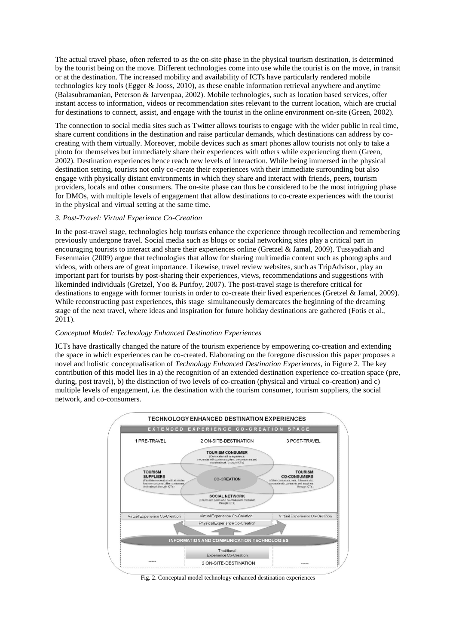The actual travel phase, often referred to as the on-site phase in the physical tourism destination, is determined by the tourist being on the move. Different technologies come into use while the tourist is on the move, in transit or at the destination. The increased mobility and availability of ICTs have particularly rendered mobile technologies key tools [\(Egger & Jooss, 2010\)](#page-13-27), as these enable information retrieval anywhere and anytime [\(Balasubramanian, Peterson & Jarvenpaa, 2002\)](#page-13-28). Mobile technologies, such as location based services, offer instant access to information, videos or recommendation sites relevant to the current location, which are crucial for destinations to connect, assist, and engage with the tourist in the online environment on-site [\(Green, 2002\)](#page-14-20).

The connection to social media sites such as Twitter allows tourists to engage with the wider public in real time, share current conditions in the destination and raise particular demands, which destinations can address by cocreating with them virtually. Moreover, mobile devices such as smart phones allow tourists not only to take a photo for themselves but immediately share their experiences with others while experiencing them [\(Green,](#page-14-20)  [2002\)](#page-14-20). Destination experiences hence reach new levels of interaction. While being immersed in the physical destination setting, tourists not only co-create their experiences with their immediate surrounding but also engage with physically distant environments in which they share and interact with friends, peers, tourism providers, locals and other consumers. The on-site phase can thus be considered to be the most intriguing phase for DMOs, with multiple levels of engagement that allow destinations to co-create experiences with the tourist in the physical and virtual setting at the same time.

# *3. Post-Travel: Virtual Experience Co-Creation*

In the post-travel stage, technologies help tourists enhance the experience through recollection and remembering previously undergone travel. Social media such as blogs or social networking sites play a critical part in encouraging tourists to interact and share their experiences online [\(Gretzel & Jamal, 2009\)](#page-14-3). [Tussyadiah and](#page-16-1)  [Fesenmaier \(2009\)](#page-16-1) argue that technologies that allow for sharing multimedia content such as photographs and videos, with others are of great importance. Likewise, travel review websites, such as TripAdvisor, play an important part for tourists by post-sharing their experiences, views, recommendations and suggestions with likeminded individuals [\(Gretzel, Yoo & Purifoy, 2007\)](#page-14-27). The post-travel stage is therefore critical for destinations to engage with former tourists in order to co-create their lived experiences [\(Gretzel & Jamal, 2009\)](#page-14-3). While reconstructing past experiences, this stage simultaneously demarcates the beginning of the dreaming stage of the next travel, where ideas and inspiration for future holiday destinations are gathered [\(Fotis et al.,](#page-14-18)  [2011\)](#page-14-18).

#### *Conceptual Model: Technology Enhanced Destination Experiences*

ICTs have drastically changed the nature of the tourism experience by empowering co-creation and extending the space in which experiences can be co-created. Elaborating on the foregone discussion this paper proposes a novel and holistic conceptualisation of *Technology Enhanced Destination Experiences*, in Figure 2. The key contribution of this model lies in a) the recognition of an extended destination experience co-creation space (pre, during, post travel), b) the distinction of two levels of co-creation (physical and virtual co-creation) and c) multiple levels of engagement, i.e. the destination with the tourism consumer, tourism suppliers, the social network, and co-consumers.



Fig. 2. Conceptual model technology enhanced destination experiences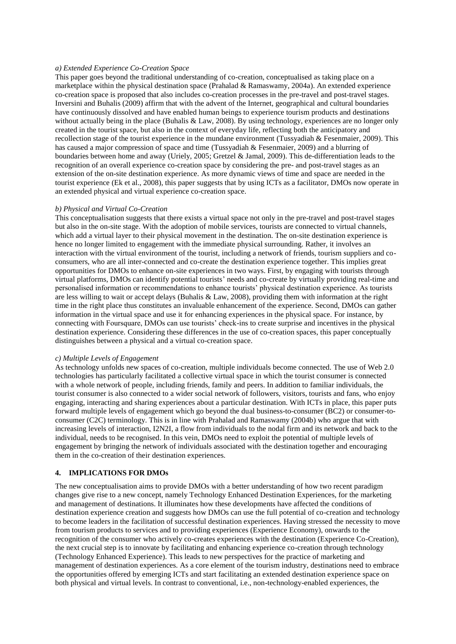#### *a) Extended Experience Co-Creation Space*

This paper goes beyond the traditional understanding of co-creation, conceptualised as taking place on a marketplace within the physical destination space [\(Prahalad & Ramaswamy, 2004a\)](#page-15-6). An extended experience co-creation space is proposed that also includes co-creation processes in the pre-travel and post-travel stages. [Inversini and Buhalis \(2009\)](#page-14-28) affirm that with the advent of the Internet, geographical and cultural boundaries have continuously dissolved and have enabled human beings to experience tourism products and destinations without actually being in the place [\(Buhalis & Law, 2008\)](#page-13-17). By using technology, experiences are no longer only created in the tourist space, but also in the context of everyday life, reflecting both the anticipatory and recollection stage of the tourist experience in the mundane environment [\(Tussyadiah & Fesenmaier, 2009\)](#page-16-1). This has caused a major compression of space and time [\(Tussyadiah & Fesenmaier, 2009\)](#page-16-1) and a blurring of boundaries between home and away [\(Uriely, 2005;](#page-16-3) [Gretzel & Jamal, 2009\)](#page-14-3). This de-differentiation leads to the recognition of an overall experience co-creation space by considering the pre- and post-travel stages as an extension of the on-site destination experience. As more dynamic views of time and space are needed in the tourist experience [\(Ek et al., 2008\)](#page-14-24), this paper suggests that by using ICTs as a facilitator, DMOs now operate in an extended physical and virtual experience co-creation space.

### *b) Physical and Virtual Co-Creation*

This conceptualisation suggests that there exists a virtual space not only in the pre-travel and post-travel stages but also in the on-site stage. With the adoption of mobile services, tourists are connected to virtual channels, which add a virtual layer to their physical movement in the destination. The on-site destination experience is hence no longer limited to engagement with the immediate physical surrounding. Rather, it involves an interaction with the virtual environment of the tourist, including a network of friends, tourism suppliers and coconsumers, who are all inter-connected and co-create the destination experience together. This implies great opportunities for DMOs to enhance on-site experiences in two ways. First, by engaging with tourists through virtual platforms, DMOs can identify potential tourists' needs and co-create by virtually providing real-time and personalised information or recommendations to enhance tourists' physical destination experience. As tourists are less willing to wait or accept delays [\(Buhalis & Law, 2008\)](#page-13-17), providing them with information at the right time in the right place thus constitutes an invaluable enhancement of the experience. Second, DMOs can gather information in the virtual space and use it for enhancing experiences in the physical space. For instance, by connecting with Foursquare, DMOs can use tourists' check-ins to create surprise and incentives in the physical destination experience. Considering these differences in the use of co-creation spaces, this paper conceptually distinguishes between a physical and a virtual co-creation space.

#### *c) Multiple Levels of Engagement*

As technology unfolds new spaces of co-creation, multiple individuals become connected. The use of Web 2.0 technologies has particularly facilitated a collective virtual space in which the tourist consumer is connected with a whole network of people, including friends, family and peers. In addition to familiar individuals, the tourist consumer is also connected to a wider social network of followers, visitors, tourists and fans, who enjoy engaging, interacting and sharing experiences about a particular destination. With ICTs in place, this paper puts forward multiple levels of engagement which go beyond the dual business-to-consumer (BC2) or consumer-toconsumer (C2C) terminology. This is in line with [Prahalad and Ramaswamy \(2004b\)](#page-15-29) who argue that with increasing levels of interaction, I2N2I, a flow from individuals to the nodal firm and its network and back to the individual, needs to be recognised. In this vein, DMOs need to exploit the potential of multiple levels of engagement by bringing the network of individuals associated with the destination together and encouraging them in the co-creation of their destination experiences.

## **4. IMPLICATIONS FOR DMOs**

The new conceptualisation aims to provide DMOs with a better understanding of how two recent paradigm changes give rise to a new concept, namely Technology Enhanced Destination Experiences, for the marketing and management of destinations. It illuminates how these developments have affected the conditions of destination experience creation and suggests how DMOs can use the full potential of co-creation and technology to become leaders in the facilitation of successful destination experiences. Having stressed the necessity to move from tourism products to services and to providing experiences (Experience Economy), onwards to the recognition of the consumer who actively co-creates experiences with the destination (Experience Co-Creation), the next crucial step is to innovate by facilitating and enhancing experience co-creation through technology (Technology Enhanced Experience). This leads to new perspectives for the practice of marketing and management of destination experiences. As a core element of the tourism industry, destinations need to embrace the opportunities offered by emerging ICTs and start facilitating an extended destination experience space on both physical and virtual levels. In contrast to conventional, i.e., non-technology-enabled experiences, the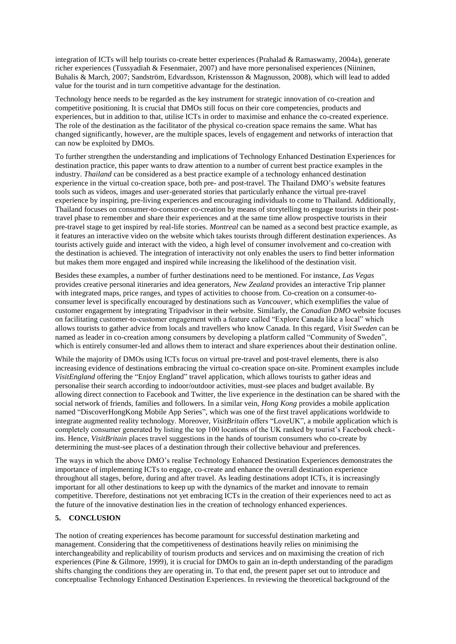integration of ICTs will help tourists co-create better experiences [\(Prahalad & Ramaswamy, 2004a\)](#page-15-6), generate richer experiences [\(Tussyadiah & Fesenmaier, 2007\)](#page-16-2) and have more personalised experiences [\(Niininen,](#page-15-30)  [Buhalis & March, 2007;](#page-15-30) [Sandström, Edvardsson, Kristensson & Magnusson, 2008\)](#page-15-31), which will lead to added value for the tourist and in turn competitive advantage for the destination.

Technology hence needs to be regarded as the key instrument for strategic innovation of co-creation and competitive positioning. It is crucial that DMOs still focus on their core competencies, products and experiences, but in addition to that, utilise ICTs in order to maximise and enhance the co-created experience. The role of the destination as the facilitator of the physical co-creation space remains the same. What has changed significantly, however, are the multiple spaces, levels of engagement and networks of interaction that can now be exploited by DMOs.

To further strengthen the understanding and implications of Technology Enhanced Destination Experiences for destination practice, this paper wants to draw attention to a number of current best practice examples in the industry. *Thailand* can be considered as a best practice example of a technology enhanced destination experience in the virtual co-creation space, both pre- and post-travel. The Thailand DMO's website features tools such as videos, images and user-generated stories that particularly enhance the virtual pre-travel experience by inspiring, pre-living experiences and encouraging individuals to come to Thailand. Additionally, Thailand focuses on consumer-to-consumer co-creation by means of storytelling to engage tourists in their posttravel phase to remember and share their experiences and at the same time allow prospective tourists in their pre-travel stage to get inspired by real-life stories. *Montreal* can be named as a second best practice example, as it features an interactive video on the website which takes tourists through different destination experiences. As tourists actively guide and interact with the video, a high level of consumer involvement and co-creation with the destination is achieved. The integration of interactivity not only enables the users to find better information but makes them more engaged and inspired while increasing the likelihood of the destination visit.

Besides these examples, a number of further destinations need to be mentioned. For instance, *Las Vegas* provides creative personal itineraries and idea generators, *New Zealand* provides an interactive Trip planner with integrated maps, price ranges, and types of activities to choose from. Co-creation on a consumer-toconsumer level is specifically encouraged by destinations such as *Vancouver,* which exemplifies the value of customer engagement by integrating Tripadvisor in their website. Similarly, the *Canadian DMO* website focuses on facilitating customer-to-customer engagement with a feature called "Explore Canada like a local" which allows tourists to gather advice from locals and travellers who know Canada. In this regard, *Visit Sweden* can be named as leader in co-creation among consumers by developing a platform called "Community of Sweden", which is entirely consumer-led and allows them to interact and share experiences about their destination online.

While the majority of DMOs using ICTs focus on virtual pre-travel and post-travel elements, there is also increasing evidence of destinations embracing the virtual co-creation space on-site. Prominent examples include *VisitEngland* offering the "Enjoy England" travel application, which allows tourists to gather ideas and personalise their search according to indoor/outdoor activities, must-see places and budget available. By allowing direct connection to Facebook and Twitter, the live experience in the destination can be shared with the social network of friends, families and followers. In a similar vein, *Hong Kong* provides a mobile application named "DiscoverHongKong Mobile App Series", which was one of the first travel applications worldwide to integrate augmented reality technology. Moreover, *VisitBritain* offers "LoveUK", a mobile application which is completely consumer generated by listing the top 100 locations of the UK ranked by tourist's Facebook checkins. Hence, *VisitBritain* places travel suggestions in the hands of tourism consumers who co-create by determining the must-see places of a destination through their collective behaviour and preferences.

The ways in which the above DMO's realise Technology Enhanced Destination Experiences demonstrates the importance of implementing ICTs to engage, co-create and enhance the overall destination experience throughout all stages, before, during and after travel. As leading destinations adopt ICTs, it is increasingly important for all other destinations to keep up with the dynamics of the market and innovate to remain competitive. Therefore, destinations not yet embracing ICTs in the creation of their experiences need to act as the future of the innovative destination lies in the creation of technology enhanced experiences.

# **5. CONCLUSION**

The notion of creating experiences has become paramount for successful destination marketing and management. Considering that the competitiveness of destinations heavily relies on minimising the interchangeability and replicability of tourism products and services and on maximising the creation of rich experiences [\(Pine & Gilmore, 1999\)](#page-15-5), it is crucial for DMOs to gain an in-depth understanding of the paradigm shifts changing the conditions they are operating in. To that end, the present paper set out to introduce and conceptualise Technology Enhanced Destination Experiences. In reviewing the theoretical background of the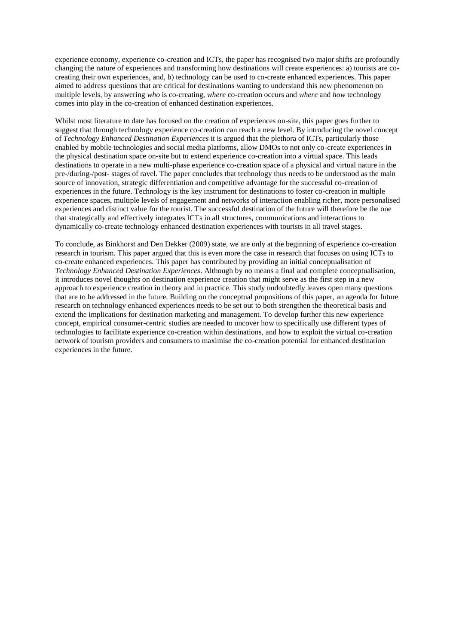experience economy, experience co-creation and ICTs, the paper has recognised two major shifts are profoundly changing the nature of experiences and transforming how destinations will create experiences: a) tourists are cocreating their own experiences, and, b) technology can be used to co-create enhanced experiences. This paper aimed to address questions that are critical for destinations wanting to understand this new phenomenon on multiple levels, by answering *who* is co-creating, *where* co-creation occurs and *where* and *how* technology comes into play in the co-creation of enhanced destination experiences.

Whilst most literature to date has focused on the creation of experiences on-site, this paper goes further to suggest that through technology experience co-creation can reach a new level. By introducing the novel concept of *Technology Enhanced Destination Experiences* it is argued that the plethora of ICTs, particularly those enabled by mobile technologies and social media platforms, allow DMOs to not only co-create experiences in the physical destination space on-site but to extend experience co-creation into a virtual space. This leads destinations to operate in a new multi-phase experience co-creation space of a physical and virtual nature in the pre-/during-/post- stages of ravel. The paper concludes that technology thus needs to be understood as the main source of innovation, strategic differentiation and competitive advantage for the successful co-creation of experiences in the future. Technology is the key instrument for destinations to foster co-creation in multiple experience spaces, multiple levels of engagement and networks of interaction enabling richer, more personalised experiences and distinct value for the tourist. The successful destination of the future will therefore be the one that strategically and effectively integrates ICTs in all structures, communications and interactions to dynamically co-create technology enhanced destination experiences with tourists in all travel stages.

To conclude, as [Binkhorst and Den Dekker \(2009\)](#page-13-8) state, we are only at the beginning of experience co-creation research in tourism. This paper argued that this is even more the case in research that focuses on using ICTs to co-create enhanced experiences. This paper has contributed by providing an initial conceptualisation of *Technology Enhanced Destination Experiences*. Although by no means a final and complete conceptualisation, it introduces novel thoughts on destination experience creation that might serve as the first step in a new approach to experience creation in theory and in practice. This study undoubtedly leaves open many questions that are to be addressed in the future. Building on the conceptual propositions of this paper, an agenda for future research on technology enhanced experiences needs to be set out to both strengthen the theoretical basis and extend the implications for destination marketing and management. To develop further this new experience concept, empirical consumer-centric studies are needed to uncover how to specifically use different types of technologies to facilitate experience co-creation within destinations, and how to exploit the virtual co-creation network of tourism providers and consumers to maximise the co-creation potential for enhanced destination experiences in the future.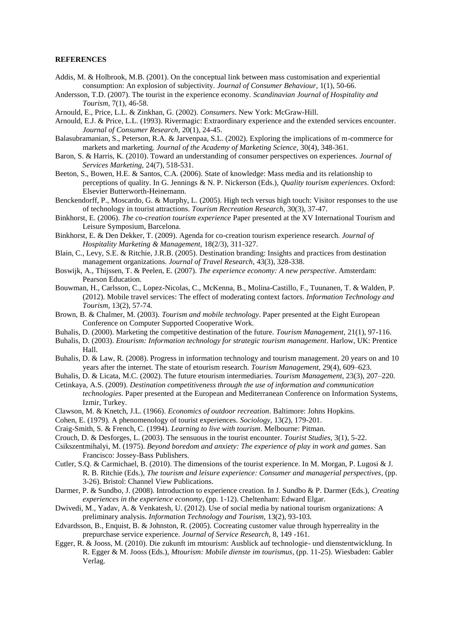### **REFERENCES**

- <span id="page-13-6"></span>Addis, M. & Holbrook, M.B. (2001). On the conceptual link between mass customisation and experiential consumption: An explosion of subjectivity. *Journal of Consumer Behaviour,* 1(1), 50-66.
- <span id="page-13-5"></span>Andersson, T.D. (2007). The tourist in the experience economy. *Scandinavian Journal of Hospitality and Tourism,* 7(1), 46-58.
- <span id="page-13-9"></span>Arnould, E., Price, L.L. & Zinkhan, G. (2002). *Consumers*. New York: McGraw-Hill.
- <span id="page-13-25"></span>Arnould, E.J. & Price, L.L. (1993). Rivermagic: Extraordinary experience and the extended services encounter. *Journal of Consumer Research,* 20(1), 24-45.
- <span id="page-13-28"></span>Balasubramanian, S., Peterson, R.A. & Jarvenpaa, S.L. (2002). Exploring the implications of m-commerce for markets and marketing. *Journal of the Academy of Marketing Science,* 30(4), 348-361.
- <span id="page-13-13"></span>Baron, S. & Harris, K. (2010). Toward an understanding of consumer perspectives on experiences. *Journal of Services Marketing,* 24(7), 518-531.
- <span id="page-13-2"></span>Beeton, S., Bowen, H.E. & Santos, C.A. (2006). State of knowledge: Mass media and its relationship to perceptions of quality. In G. Jennings & N. P. Nickerson (Eds.), *Quality tourism experiences*. Oxford: Elsevier Butterworth-Heinemann.
- <span id="page-13-18"></span>Benckendorff, P., Moscardo, G. & Murphy, L. (2005). High tech versus high touch: Visitor responses to the use of technology in tourist attractions. *Tourism Recreation Research,* 30(3), 37-47.
- <span id="page-13-12"></span>Binkhorst, E. (2006). *The co-creation tourism experience* Paper presented at the XV International Tourism and Leisure Symposium, Barcelona.
- <span id="page-13-8"></span>Binkhorst, E. & Den Dekker, T. (2009). Agenda for co-creation tourism experience research. *Journal of Hospitality Marketing & Management,* 18(2/3), 311-327.
- <span id="page-13-1"></span>Blain, C., Levy, S.E. & Ritchie, J.R.B. (2005). Destination branding: Insights and practices from destination management organizations. *Journal of Travel Research,* 43(3), 328-338.
- <span id="page-13-11"></span>Boswijk, A., Thijssen, T. & Peelen, E. (2007). *The experience economy: A new perspective*. Amsterdam: Pearson Education.
- <span id="page-13-22"></span>Bouwman, H., Carlsson, C., Lopez-Nicolas, C., McKenna, B., Molina-Castillo, F., Tuunanen, T. & Walden, P. (2012). Mobile travel services: The effect of moderating context factors. *Information Technology and Tourism,* 13(2), 57-74.
- <span id="page-13-21"></span>Brown, B. & Chalmer, M. (2003). *Tourism and mobile technology*. Paper presented at the Eight European Conference on Computer Supported Cooperative Work.
- <span id="page-13-0"></span>Buhalis, D. (2000). Marketing the competitive destination of the future. *Tourism Management,* 21(1), 97-116.
- <span id="page-13-16"></span>Buhalis, D. (2003). *Etourism: Information technology for strategic tourism management*. Harlow, UK: Prentice Hall.
- <span id="page-13-17"></span>Buhalis, D. & Law, R. (2008). Progress in information technology and tourism management. 20 years on and 10 years after the internet. The state of etourism research. *Tourism Management,* 29(4), 609–623.

<span id="page-13-23"></span>Buhalis, D. & Licata, M.C. (2002). The future etourism intermediaries. *Tourism Management,* 23(3), 207–220.

- <span id="page-13-19"></span>Cetinkaya, A.S. (2009). *Destination competitiveness through the use of information and communication technologies*. Paper presented at the European and Mediterranean Conference on Information Systems, Izmir, Turkey.
- <span id="page-13-24"></span>Clawson, M. & Knetch, J.L. (1966). *Economics of outdoor recreation*. Baltimore: Johns Hopkins.
- <span id="page-13-4"></span>Cohen, E. (1979). A phenomenology of tourist experiences. *Sociology,* 13(2), 179-201.
- <span id="page-13-26"></span>Craig-Smith, S. & French, C. (1994). *Learning to live with tourism*. Melbourne: Pitman.
- <span id="page-13-15"></span>Crouch, D. & Desforges, L. (2003). The sensuous in the tourist encounter. *Tourist Studies,* 3(1), 5-22.
- <span id="page-13-3"></span>Csikszentmihalyi, M. (1975). *Beyond boredom and anxiety: The experience of play in work and games*. San Francisco: Jossey-Bass Publishers.
- <span id="page-13-7"></span>Cutler, S.Q. & Carmichael, B. (2010). The dimensions of the tourist experience. In M. Morgan, P. Lugosi & J. R. B. Ritchie (Eds.), *The tourism and leisure experience: Consumer and managerial perspectives*, (pp. 3-26). Bristol: Channel View Publications.
- <span id="page-13-10"></span>Darmer, P. & Sundbo, J. (2008). Introduction to experience creation. In J. Sundbo & P. Darmer (Eds.), *Creating experiences in the experience economy*, (pp. 1-12). Cheltenham: Edward Elgar.
- <span id="page-13-20"></span>Dwivedi, M., Yadav, A. & Venkatesh, U. (2012). Use of social media by national tourism organizations: A preliminary analysis. *Information Technology and Tourism,* 13(2), 93-103.
- <span id="page-13-14"></span>Edvardsson, B., Enquist, B. & Johnston, R. (2005). Cocreating customer value through hyperreality in the prepurchase service experience. *Journal of Service Research,* 8, 149 -161.
- <span id="page-13-27"></span>Egger, R. & Jooss, M. (2010). Die zukunft im mtourism: Ausblick auf technologie- und dienstentwicklung. In R. Egger & M. Jooss (Eds.), *Mtourism: Mobile dienste im tourismus*, (pp. 11-25). Wiesbaden: Gabler Verlag.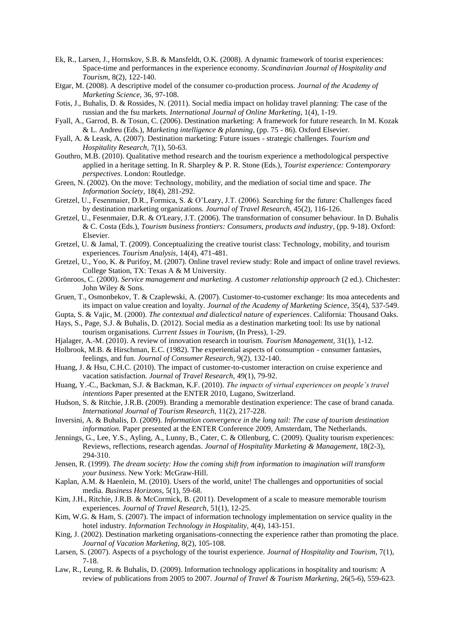- <span id="page-14-24"></span>Ek, R., Larsen, J., Hornskov, S.B. & Mansfeldt, O.K. (2008). A dynamic framework of tourist experiences: Space-time and performances in the experience economy. *Scandinavian Journal of Hospitality and Tourism,* 8(2), 122-140.
- <span id="page-14-25"></span>Etgar, M. (2008). A descriptive model of the consumer co-production process. *Journal of the Academy of Marketing Science,* 36, 97-108.
- <span id="page-14-18"></span>Fotis, J., Buhalis, D. & Rossides, N. (2011). Social media impact on holiday travel planning: The case of the russian and the fsu markets. *International Journal of Online Marketing,* 1(4), 1-19.
- <span id="page-14-1"></span>Fyall, A., Garrod, B. & Tosun, C. (2006). Destination marketing: A framework for future research. In M. Kozak & L. Andreu (Eds.), *Marketing intelligence & planning*, (pp. 75 - 86). Oxford Elsevier.
- <span id="page-14-0"></span>Fyall, A. & Leask, A. (2007). Destination marketing: Future issues - strategic challenges. *Tourism and Hospitality Research,* 7(1), 50-63.
- <span id="page-14-8"></span>Gouthro, M.B. (2010). Qualitative method research and the tourism experience a methodological perspective applied in a heritage setting. In R. Sharpley & P. R. Stone (Eds.), *Tourist experience: Contemporary perspectives*. London: Routledge.
- <span id="page-14-20"></span>Green, N. (2002). On the move: Technology, mobility, and the mediation of social time and space. *The Information Society,* 18(4), 281-292.
- <span id="page-14-16"></span>Gretzel, U., Fesenmaier, D.R., Formica, S. & O'Leary, J.T. (2006). Searching for the future: Challenges faced by destination marketing organizations. *Journal of Travel Research,* 45(2), 116-126.
- <span id="page-14-23"></span>Gretzel, U., Fesenmaier, D.R. & O'Leary, J.T. (2006). The transformation of consumer behaviour. In D. Buhalis & C. Costa (Eds.), *Tourism business frontiers: Consumers, products and industry*, (pp. 9-18). Oxford: Elsevier.
- <span id="page-14-3"></span>Gretzel, U. & Jamal, T. (2009). Conceptualizing the creative tourist class: Technology, mobility, and tourism experiences. *Tourism Analysis,* 14(4), 471-481.
- <span id="page-14-27"></span>Gretzel, U., Yoo, K. & Purifoy, M. (2007). Online travel review study: Role and impact of online travel reviews. College Station, TX: Texas A & M University.
- <span id="page-14-11"></span>Grönroos, C. (2000). *Service management and marketing. A customer relationship approach* (2 ed.). Chichester: John Wiley & Sons.
- <span id="page-14-13"></span>Gruen, T., Osmonbekov, T. & Czaplewski, A. (2007). Customer-to-customer exchange: Its moa antecedents and its impact on value creation and loyalty. *Journal of the Academy of Marketing Science,* 35(4), 537-549.
- <span id="page-14-5"></span>Gupta, S. & Vajic, M. (2000). *The contextual and dialectical nature of experiences*. California: Thousand Oaks.
- <span id="page-14-19"></span>Hays, S., Page, S.J. & Buhalis, D. (2012). Social media as a destination marketing tool: Its use by national tourism organisations. *Current Issues in Tourism,* (In Press), 1-29.
- <span id="page-14-15"></span>Hjalager, A.-M. (2010). A review of innovation research in tourism. *Tourism Management,* 31(1), 1-12.
- <span id="page-14-4"></span>Holbrook, M.B. & Hirschman, E.C. (1982). The experiential aspects of consumption - consumer fantasies, feelings, and fun. *Journal of Consumer Research,* 9(2), 132-140.
- <span id="page-14-14"></span>Huang, J. & Hsu, C.H.C. (2010). The impact of customer-to-customer interaction on cruise experience and vacation satisfaction. *Journal of Travel Research,* 49(1), 79-92.
- <span id="page-14-26"></span>Huang, Y.-C., Backman, S.J. & Backman, K.F. (2010). *The impacts of virtual experiences on people's travel intentions* Paper presented at the ENTER 2010, Lugano, Switzerland.
- <span id="page-14-2"></span>Hudson, S. & Ritchie, J.R.B. (2009). Branding a memorable destination experience: The case of brand canada. *International Journal of Tourism Research,* 11(2), 217-228.
- <span id="page-14-28"></span>Inversini, A. & Buhalis, D. (2009). *Information convergence in the long tail: The case of tourism destination information.* Paper presented at the ENTER Conference 2009, Amsterdam, The Netherlands.
- <span id="page-14-7"></span>Jennings, G., Lee, Y.S., Ayling, A., Lunny, B., Cater, C. & Ollenburg, C. (2009). Quality tourism experiences: Reviews, reflections, research agendas. *Journal of Hospitality Marketing & Management,* 18(2-3), 294-310.
- <span id="page-14-10"></span>Jensen, R. (1999). *The dream society: How the coming shift from information to imagination will transform your business*. New York: McGraw-Hill.
- <span id="page-14-17"></span>Kaplan, A.M. & Haenlein, M. (2010). Users of the world, unite! The challenges and opportunities of social media. *Business Horizons,* 5(1), 59-68.
- <span id="page-14-9"></span>Kim, J.H., Ritchie, J.R.B. & McCormick, B. (2011). Development of a scale to measure memorable tourism experiences. *Journal of Travel Research,* 51(1), 12-25.
- <span id="page-14-21"></span>Kim, W.G. & Ham, S. (2007). The impact of information technology implementation on service quality in the hotel industry. *Information Technology in Hospitality,* 4(4), 143-151.
- <span id="page-14-12"></span>King, J. (2002). Destination marketing organisations-connecting the experience rather than promoting the place. *Journal of Vacation Marketing,* 8(2), 105-108.
- <span id="page-14-6"></span>Larsen, S. (2007). Aspects of a psychology of the tourist experience. *Journal of Hospitality and Tourism,* 7(1), 7-18.
- <span id="page-14-22"></span>Law, R., Leung, R. & Buhalis, D. (2009). Information technology applications in hospitality and tourism: A review of publications from 2005 to 2007. *Journal of Travel & Tourism Marketing,* 26(5-6), 559-623.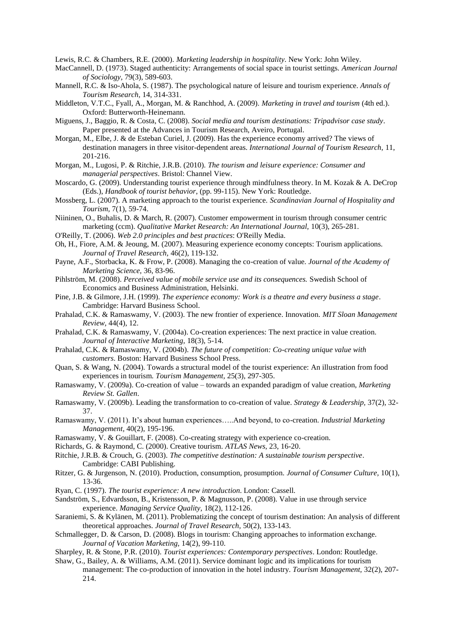<span id="page-15-11"></span>Lewis, R.C. & Chambers, R.E. (2000). *Marketing leadership in hospitality*. New York: John Wiley.

- <span id="page-15-7"></span>MacCannell, D. (1973). Staged authenticity: Arrangements of social space in tourist settings. *American Journal of Sociology,* 79(3), 589-603.
- <span id="page-15-8"></span>Mannell, R.C. & Iso-Ahola, S. (1987). The psychological nature of leisure and tourism experience. *Annals of Tourism Research,* 14, 314-331.
- <span id="page-15-22"></span>Middleton, V.T.C., Fyall, A., Morgan, M. & Ranchhod, A. (2009). *Marketing in travel and tourism* (4th ed.). Oxford: Butterworth-Heinemann.
- <span id="page-15-26"></span>Miguens, J., Baggio, R. & Costa, C. (2008). *Social media and tourism destinations: Tripadvisor case study*. Paper presented at the Advances in Tourism Research, Aveiro, Portugal.
- <span id="page-15-2"></span>Morgan, M., Elbe, J. & de Esteban Curiel, J. (2009). Has the experience economy arrived? The views of destination managers in three visitor-dependent areas. *International Journal of Tourism Research,* 11, 201-216.
- <span id="page-15-4"></span>Morgan, M., Lugosi, P. & Ritchie, J.R.B. (2010). *The tourism and leisure experience: Consumer and managerial perspectives*. Bristol: Channel View.
- <span id="page-15-10"></span>Moscardo, G. (2009). Understanding tourist experience through mindfulness theory. In M. Kozak & A. DeCrop (Eds.), *Handbook of tourist behavior*, (pp. 99-115). New York: Routledge.
- <span id="page-15-12"></span>Mossberg, L. (2007). A marketing approach to the tourist experience. *Scandinavian Journal of Hospitality and Tourism,* 7(1), 59-74.
- <span id="page-15-30"></span>Niininen, O., Buhalis, D. & March, R. (2007). Customer empowerment in tourism through consumer centric marketing (ccm). *Qualitative Market Research: An International Journal,* 10(3), 265-281.
- <span id="page-15-25"></span>O'Reilly, T. (2006). *Web 2.0 principles and best practices*: O'Reilly Media.
- <span id="page-15-3"></span>Oh, H., Fiore, A.M. & Jeoung, M. (2007). Measuring experience economy concepts: Tourism applications. *Journal of Travel Research,* 46(2), 119-132.
- <span id="page-15-20"></span>Payne, A.F., Storbacka, K. & Frow, P. (2008). Managing the co-creation of value. *Journal of the Academy of Marketing Science,* 36, 83-96.
- <span id="page-15-27"></span>Pihlström, M. (2008). *Perceived value of mobile service use and its consequences.* Swedish School of Economics and Business Administration, Helsinki.
- <span id="page-15-5"></span>Pine, J.B. & Gilmore, J.H. (1999). *The experience economy: Work is a theatre and every business a stage*. Cambridge: Harvard Business School.
- <span id="page-15-23"></span>Prahalad, C.K. & Ramaswamy, V. (2003). The new frontier of experience. Innovation. *MIT Sloan Management Review,* 44(4), 12.
- <span id="page-15-6"></span>Prahalad, C.K. & Ramaswamy, V. (2004a). Co-creation experiences: The next practice in value creation. *Journal of Interactive Marketing,* 18(3), 5-14.
- <span id="page-15-29"></span>Prahalad, C.K. & Ramaswamy, V. (2004b). *The future of competition: Co-creating unique value with customers*. Boston: Harvard Business School Press.
- <span id="page-15-14"></span>Quan, S. & Wang, N. (2004). Towards a structural model of the tourist experience: An illustration from food experiences in tourism. *Tourism Management,* 25(3), 297-305.
- <span id="page-15-16"></span>Ramaswamy, V. (2009a). Co-creation of value – towards an expanded paradigm of value creation, *Marketing Review St. Gallen*.
- <span id="page-15-21"></span>Ramaswamy, V. (2009b). Leading the transformation to co-creation of value. *Strategy & Leadership,* 37(2), 32- 37.
- <span id="page-15-19"></span>Ramaswamy, V. (2011). It's about human experiences…..And beyond, to co-creation. *Industrial Marketing Management,* 40(2), 195-196.
- <span id="page-15-18"></span>Ramaswamy, V. & Gouillart, F. (2008). Co-creating strategy with experience co-creation.
- <span id="page-15-15"></span>Richards, G. & Raymond, C. (2000). Creative tourism. *ATLAS News,* 23, 16-20.
- <span id="page-15-1"></span>Ritchie, J.R.B. & Crouch, G. (2003). *The competitive destination: A sustainable tourism perspective*. Cambridge: CABI Publishing.
- <span id="page-15-17"></span>Ritzer, G. & Jurgenson, N. (2010). Production, consumption, prosumption. *Journal of Consumer Culture,* 10(1), 13-36.
- <span id="page-15-9"></span>Ryan, C. (1997). *The tourist experience: A new introduction*. London: Cassell.
- <span id="page-15-31"></span>Sandström, S., Edvardsson, B., Kristensson, P. & Magnusson, P. (2008). Value in use through service experience. *Managing Service Quality,* 18(2), 112-126.
- <span id="page-15-0"></span>Saraniemi, S. & Kylänen, M. (2011). Problematizing the concept of tourism destination: An analysis of different theoretical approaches. *Journal of Travel Research,* 50(2), 133-143.
- <span id="page-15-24"></span>Schmallegger, D. & Carson, D. (2008). Blogs in tourism: Changing approaches to information exchange. *Journal of Vacation Marketing,* 14(2), 99-110.
- <span id="page-15-13"></span>Sharpley, R. & Stone, P.R. (2010). *Tourist experiences: Contemporary perspectives*. London: Routledge.
- <span id="page-15-28"></span>Shaw, G., Bailey, A. & Williams, A.M. (2011). Service dominant logic and its implications for tourism management: The co-production of innovation in the hotel industry. *Tourism Management,* 32(2), 207- 214.